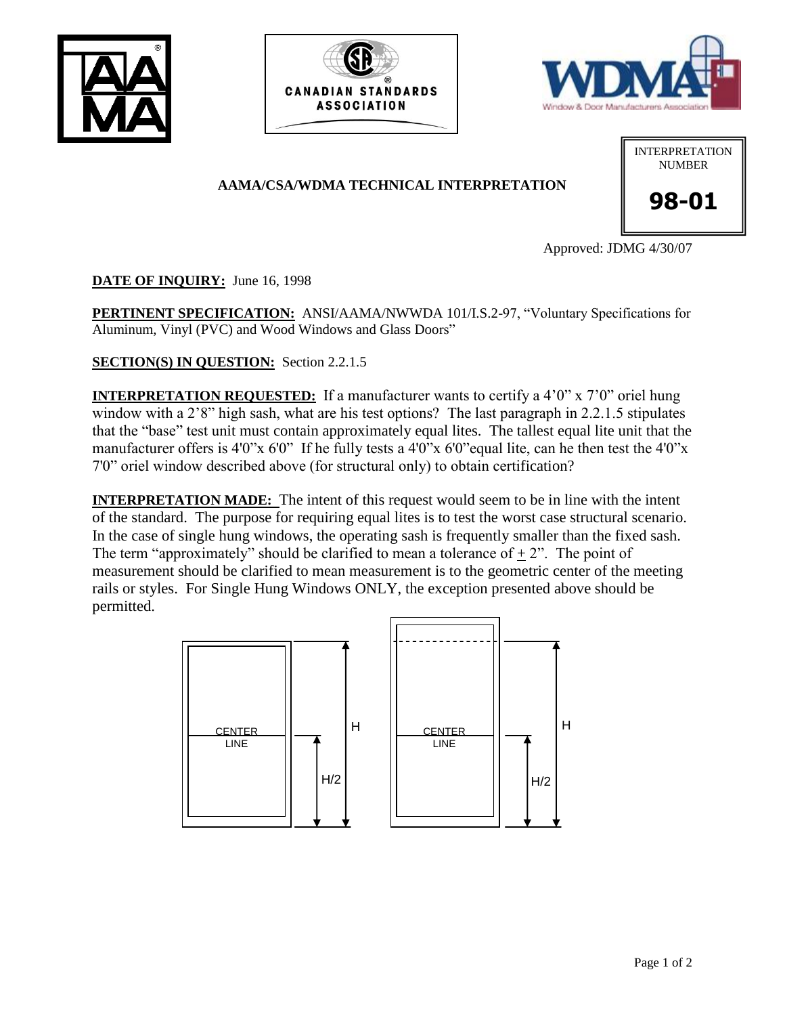





## **AAMA/CSA/WDMA TECHNICAL INTERPRETATION**



**98-01**

Approved: JDMG 4/30/07

**DATE OF INQUIRY:** June 16, 1998

**PERTINENT SPECIFICATION:** ANSI/AAMA/NWWDA 101/I.S.2-97, "Voluntary Specifications for Aluminum, Vinyl (PVC) and Wood Windows and Glass Doors"

**SECTION(S) IN QUESTION:** Section 2.2.1.5

**INTERPRETATION REQUESTED:** If a manufacturer wants to certify a 4'0" x 7'0" oriel hung window with a 2'8" high sash, what are his test options? The last paragraph in 2.2.1.5 stipulates that the "base" test unit must contain approximately equal lites. The tallest equal lite unit that the manufacturer offers is 4'0"x 6'0" If he fully tests a 4'0"x 6'0" equal lite, can he then test the 4'0"x 7'0" oriel window described above (for structural only) to obtain certification?

**INTERPRETATION MADE:** The intent of this request would seem to be in line with the intent of the standard. The purpose for requiring equal lites is to test the worst case structural scenario. In the case of single hung windows, the operating sash is frequently smaller than the fixed sash. The term "approximately" should be clarified to mean a tolerance of  $+2$ ". The point of measurement should be clarified to mean measurement is to the geometric center of the meeting rails or styles. For Single Hung Windows ONLY, the exception presented above should be permitted.